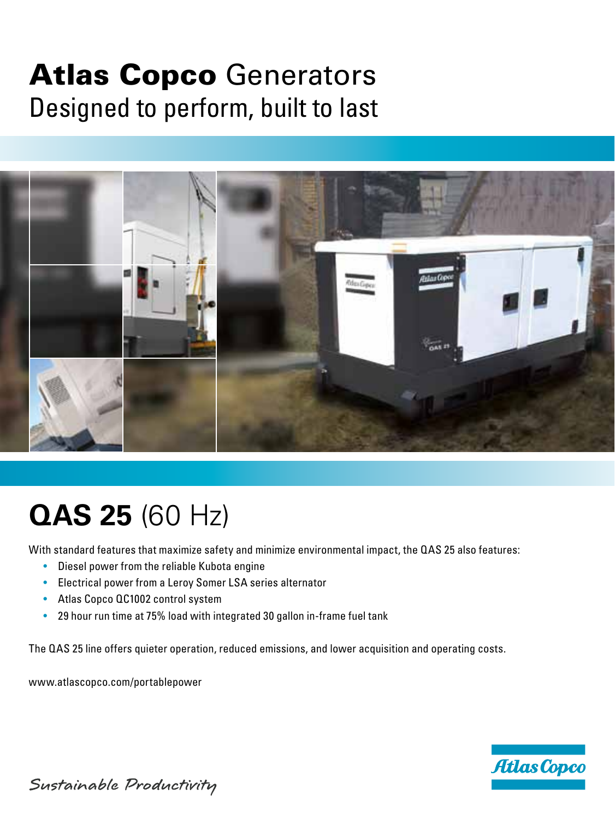## Atlas Copco Generators Designed to perform, built to last



# **QAS 25** (60 Hz)

With standard features that maximize safety and minimize environmental impact, the QAS 25 also features:

- Diesel power from the reliable Kubota engine
- Electrical power from a Leroy Somer LSA series alternator
- Atlas Copco QC1002 control system
- 29 hour run time at 75% load with integrated 30 gallon in-frame fuel tank

The QAS 25 line offers quieter operation, reduced emissions, and lower acquisition and operating costs.

www.atlascopco.com/portablepower



Sustainable Productivity